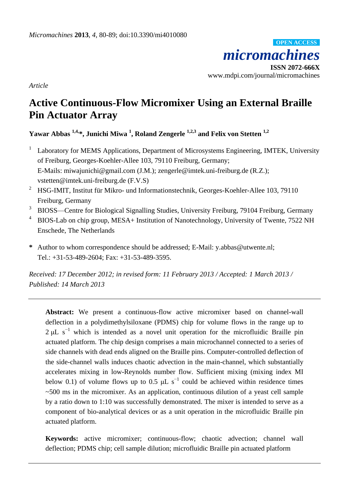*micromachines* **ISSN 2072-666X** www.mdpi.com/journal/micromachines **OPEN ACCESS**

*Article*

# **Active Continuous-Flow Micromixer Using an External Braille Pin Actuator Array**

**Yawar Abbas 1,4, \*, Junichi Miwa <sup>1</sup> , Roland Zengerle 1,2,3 and Felix von Stetten 1,2**

- 1 Laboratory for MEMS Applications, Department of Microsystems Engineering, IMTEK, University of Freiburg, Georges-Koehler-Allee 103, 79110 Freiburg, Germany; E-Mails: miwajunichi@gmail.com (J.M.); zengerle@imtek.uni-freiburg.de (R.Z.); vstetten@imtek.uni-freiburg.de (F.V.S)
- <sup>2</sup> HSG-IMIT, Institut für Mikro- und Informationstechnik, Georges-Koehler-Allee 103, 79110 Freiburg, Germany
- <sup>3</sup> BIOSS—Centre for Biological Signalling Studies, University Freiburg, 79104 Freiburg, Germany
- <sup>4</sup> BIOS-Lab on chip group, MESA+ Institution of Nanotechnology, University of Twente, 7522 NH Enschede, The Netherlands
- **\*** Author to whom correspondence should be addressed; E-Mail: y.abbas@utwente.nl; Tel.: +31-53-489-2604; Fax: +31-53-489-3595.

*Received: 17 December 2012; in revised form: 11 February 2013 / Accepted: 1 March 2013 / Published: 14 March 2013*

**Abstract:** We present a continuous-flow active micromixer based on channel-wall deflection in a polydimethylsiloxane (PDMS) chip for volume flows in the range up to  $2 \mu L s^{-1}$  which is intended as a novel unit operation for the microfluidic Braille pin actuated platform. The chip design comprises a main microchannel connected to a series of side channels with dead ends aligned on the Braille pins. Computer-controlled deflection of the side-channel walls induces chaotic advection in the main-channel, which substantially accelerates mixing in low-Reynolds number flow. Sufficient mixing (mixing index MI below 0.1) of volume flows up to 0.5  $\mu$ L s<sup>-1</sup> could be achieved within residence times ~500 ms in the micromixer. As an application, continuous dilution of a yeast cell sample by a ratio down to 1:10 was successfully demonstrated. The mixer is intended to serve as a component of bio-analytical devices or as a unit operation in the microfluidic Braille pin actuated platform.

**Keywords:** active micromixer; continuous-flow; chaotic advection; channel wall deflection; PDMS chip; cell sample dilution; microfluidic Braille pin actuated platform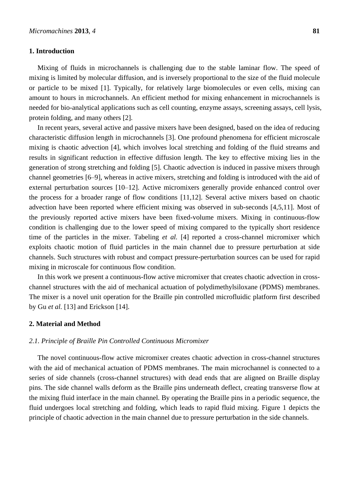# **1. Introduction**

Mixing of fluids in microchannels is challenging due to the stable laminar flow. The speed of mixing is limited by molecular diffusion, and is inversely proportional to the size of the fluid molecule or particle to be mixed [1]. Typically, for relatively large biomolecules or even cells, mixing can amount to hours in microchannels. An efficient method for mixing enhancement in microchannels is needed for bio-analytical applications such as cell counting, enzyme assays, screening assays, cell lysis, protein folding, and many others [2].

In recent years, several active and passive mixers have been designed, based on the idea of reducing characteristic diffusion length in microchannels [3]. One profound phenomena for efficient microscale mixing is chaotic advection [4], which involves local stretching and folding of the fluid streams and results in significant reduction in effective diffusion length. The key to effective mixing lies in the generation of strong stretching and folding [5]. Chaotic advection is induced in passive mixers through channel geometries [6–9], whereas in active mixers, stretching and folding is introduced with the aid of external perturbation sources [10–12]. Active micromixers generally provide enhanced control over the process for a broader range of flow conditions [11,12]. Several active mixers based on chaotic advection have been reported where efficient mixing was observed in sub-seconds [4,5,11]. Most of the previously reported active mixers have been fixed-volume mixers. Mixing in continuous-flow condition is challenging due to the lower speed of mixing compared to the typically short residence time of the particles in the mixer. Tabeling *et al.* [4] reported a cross-channel micromixer which exploits chaotic motion of fluid particles in the main channel due to pressure perturbation at side channels. Such structures with robust and compact pressure-perturbation sources can be used for rapid mixing in microscale for continuous flow condition.

In this work we present a continuous-flow active micromixer that creates chaotic advection in crosschannel structures with the aid of mechanical actuation of polydimethylsiloxane (PDMS) membranes. The mixer is a novel unit operation for the Braille pin controlled microfluidic platform first described by Gu *et al.* [13] and Erickson [14].

# **2. Material and Method**

## *2.1. Principle of Braille Pin Controlled Continuous Micromixer*

The novel continuous-flow active micromixer creates chaotic advection in cross-channel structures with the aid of mechanical actuation of PDMS membranes. The main microchannel is connected to a series of side channels (cross-channel structures) with dead ends that are aligned on Braille display pins. The side channel walls deform as the Braille pins underneath deflect, creating transverse flow at the mixing fluid interface in the main channel. By operating the Braille pins in a periodic sequence, the fluid undergoes local stretching and folding, which leads to rapid fluid mixing. Figure 1 depicts the principle of chaotic advection in the main channel due to pressure perturbation in the side channels.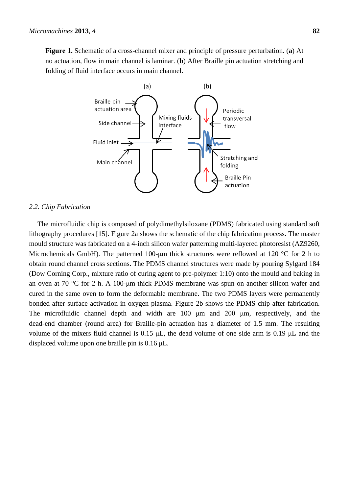**Figure 1.** Schematic of a cross-channel mixer and principle of pressure perturbation. (**a**) At no actuation, flow in main channel is laminar. (**b**) After Braille pin actuation stretching and folding of fluid interface occurs in main channel.



#### *2.2. Chip Fabrication*

The microfluidic chip is composed of polydimethylsiloxane (PDMS) fabricated using standard soft lithography procedures [15]. Figure 2a shows the schematic of the chip fabrication process. The master mould structure was fabricated on a 4-inch silicon wafer patterning multi-layered photoresist (AZ9260, Microchemicals GmbH). The patterned 100-µm thick structures were reflowed at 120  $\degree$ C for 2 h to obtain round channel cross sections. The PDMS channel structures were made by pouring Sylgard 184 (Dow Corning Corp., mixture ratio of curing agent to pre-polymer 1:10) onto the mould and baking in an oven at 70 °C for 2 h. A 100-µm thick PDMS membrane was spun on another silicon wafer and cured in the same oven to form the deformable membrane. The two PDMS layers were permanently bonded after surface activation in oxygen plasma. Figure 2b shows the PDMS chip after fabrication. The microfluidic channel depth and width are 100 μm and 200 μm, respectively, and the dead-end chamber (round area) for Braille-pin actuation has a diameter of 1.5 mm. The resulting volume of the mixers fluid channel is 0.15 μL, the dead volume of one side arm is 0.19 μL and the displaced volume upon one braille pin is 0.16 μL.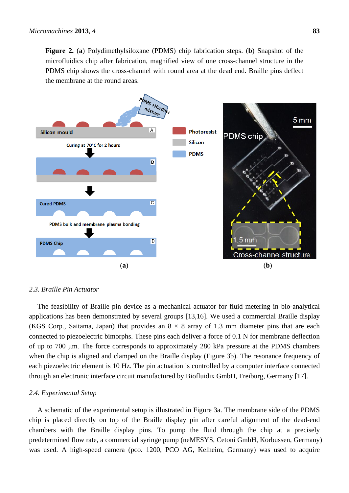**Figure 2.** (**a**) Polydimethylsiloxane (PDMS) chip fabrication steps. (**b**) Snapshot of the microfluidics chip after fabrication, magnified view of one cross-channel structure in the PDMS chip shows the cross-channel with round area at the dead end. Braille pins deflect the membrane at the round areas.



#### *2.3. Braille Pin Actuator*

The feasibility of Braille pin device as a mechanical actuator for fluid metering in bio-analytical applications has been demonstrated by several groups [13,16]. We used a commercial Braille display (KGS Corp., Saitama, Japan) that provides an  $8 \times 8$  array of 1.3 mm diameter pins that are each connected to piezoelectric bimorphs. These pins each deliver a force of 0.1 N for membrane deflection of up to 700 μm. The force corresponds to approximately 280 kPa pressure at the PDMS chambers when the chip is aligned and clamped on the Braille display (Figure 3b). The resonance frequency of each piezoelectric element is 10 Hz. The pin actuation is controlled by a computer interface connected through an electronic interface circuit manufactured by Biofluidix GmbH, Freiburg, Germany [17].

# *2.4. Experimental Setup*

A schematic of the experimental setup is illustrated in Figure 3a. The membrane side of the PDMS chip is placed directly on top of the Braille display pin after careful alignment of the dead-end chambers with the Braille display pins. To pump the fluid through the chip at a precisely predetermined flow rate, a commercial syringe pump (neMESYS, Cetoni GmbH, Korbussen, Germany) was used. A high-speed camera (pco. 1200, PCO AG, Kelheim, Germany) was used to acquire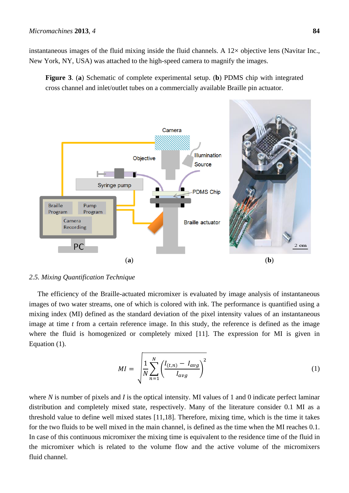instantaneous images of the fluid mixing inside the fluid channels. A  $12 \times$  objective lens (Navitar Inc., New York, NY, USA) was attached to the high-speed camera to magnify the images.

**Figure 3**. (**a**) Schematic of complete experimental setup. (**b**) PDMS chip with integrated cross channel and inlet/outlet tubes on a commercially available Braille pin actuator.



*2.5. Mixing Quantification Technique*

The efficiency of the Braille-actuated micromixer is evaluated by image analysis of instantaneous images of two water streams, one of which is colored with ink. The performance is quantified using a mixing index (MI) defined as the standard deviation of the pixel intensity values of an instantaneous image at time *t* from a certain reference image. In this study, the reference is defined as the image where the fluid is homogenized or completely mixed [11]. The expression for MI is given in Equation (1).

$$
MI = \sqrt{\frac{1}{N} \sum_{n=1}^{N} \left( \frac{I_{(t,n)} - I_{avg}}{I_{avg}} \right)^2}
$$
(1)

where *N* is number of pixels and *I* is the optical intensity. MI values of 1 and 0 indicate perfect laminar distribution and completely mixed state, respectively. Many of the literature consider 0.1 MI as a threshold value to define well mixed states [11,18]. Therefore, mixing time, which is the time it takes for the two fluids to be well mixed in the main channel, is defined as the time when the MI reaches 0.1. In case of this continuous micromixer the mixing time is equivalent to the residence time of the fluid in the micromixer which is related to the volume flow and the active volume of the micromixers fluid channel.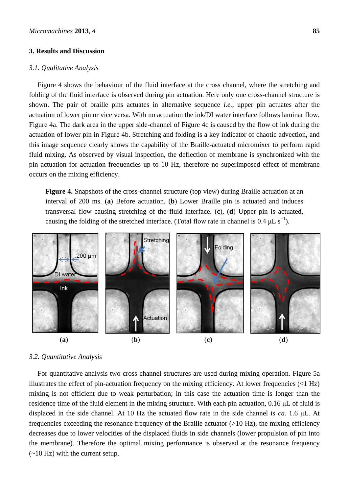# **3. Results and Discussion**

#### *3.1. Qualitative Analysis*

Figure 4 shows the behaviour of the fluid interface at the cross channel, where the stretching and folding of the fluid interface is observed during pin actuation. Here only one cross-channel structure is shown. The pair of braille pins actuates in alternative sequence *i.e.*, upper pin actuates after the actuation of lower pin or vice versa. With no actuation the ink/DI water interface follows laminar flow, Figure 4a. The dark area in the upper side-channel of Figure 4c is caused by the flow of ink during the actuation of lower pin in Figure 4b. Stretching and folding is a key indicator of chaotic advection, and this image sequence clearly shows the capability of the Braille-actuated micromixer to perform rapid fluid mixing. As observed by visual inspection, the deflection of membrane is synchronized with the pin actuation for actuation frequencies up to 10 Hz, therefore no superimposed effect of membrane occurs on the mixing efficiency.

**Figure 4.** Snapshots of the cross-channel structure (top view) during Braille actuation at an interval of 200 ms. (**a**) Before actuation. (**b**) Lower Braille pin is actuated and induces transversal flow causing stretching of the fluid interface. (**c**), (**d**) Upper pin is actuated, causing the folding of the stretched interface. (Total flow rate in channel is 0.4  $\mu$ L s<sup>-1</sup>).



# *3.2. Quantitative Analysis*

For quantitative analysis two cross-channel structures are used during mixing operation. Figure 5a illustrates the effect of pin-actuation frequency on the mixing efficiency. At lower frequencies (<1 Hz) mixing is not efficient due to weak perturbation; in this case the actuation time is longer than the residence time of the fluid element in the mixing structure. With each pin actuation, 0.16 μL of fluid is displaced in the side channel. At 10 Hz the actuated flow rate in the side channel is *ca.* 1.6 μL. At frequencies exceeding the resonance frequency of the Braille actuator (>10 Hz), the mixing efficiency decreases due to lower velocities of the displaced fluids in side channels (lower propulsion of pin into the membrane). Therefore the optimal mixing performance is observed at the resonance frequency  $(-10 \text{ Hz})$  with the current setup.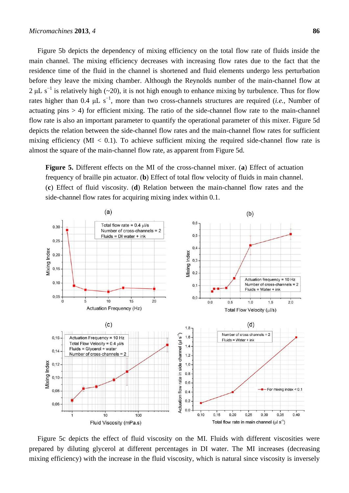Figure 5b depicts the dependency of mixing efficiency on the total flow rate of fluids inside the main channel. The mixing efficiency decreases with increasing flow rates due to the fact that the residence time of the fluid in the channel is shortened and fluid elements undergo less perturbation before they leave the mixing chamber. Although the Reynolds number of the main-channel flow at 2  $\mu$ L s<sup>-1</sup> is relatively high (~20), it is not high enough to enhance mixing by turbulence. Thus for flow rates higher than 0.4  $\mu$ L s<sup>-1</sup>, more than two cross-channels structures are required (*i.e.*, Number of actuating pins  $> 4$ ) for efficient mixing. The ratio of the side-channel flow rate to the main-channel flow rate is also an important parameter to quantify the operational parameter of this mixer. Figure 5d depicts the relation between the side-channel flow rates and the main-channel flow rates for sufficient mixing efficiency ( $MI < 0.1$ ). To achieve sufficient mixing the required side-channel flow rate is almost the square of the main-channel flow rate, as apparent from Figure 5d.

**Figure 5.** Different effects on the MI of the cross-channel mixer. (**a**) Effect of actuation frequency of braille pin actuator. (**b**) Effect of total flow velocity of fluids in main channel. (**c**) Effect of fluid viscosity. (**d**) Relation between the main-channel flow rates and the side-channel flow rates for acquiring mixing index within 0.1.



Figure 5c depicts the effect of fluid viscosity on the MI. Fluids with different viscosities were prepared by diluting glycerol at different percentages in DI water. The MI increases (decreasing mixing efficiency) with the increase in the fluid viscosity, which is natural since viscosity is inversely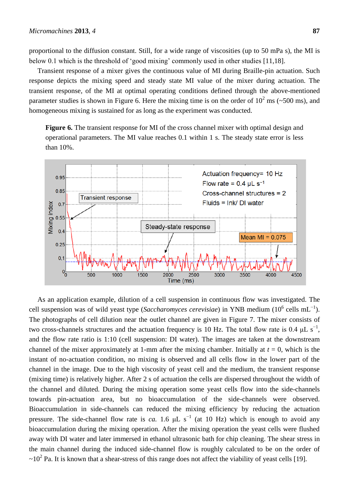proportional to the diffusion constant. Still, for a wide range of viscosities (up to 50 mPa s), the MI is below 0.1 which is the threshold of 'good mixing' commonly used in other studies [11,18].

Transient response of a mixer gives the continuous value of MI during Braille-pin actuation. Such response depicts the mixing speed and steady state MI value of the mixer during actuation. The transient response, of the MI at optimal operating conditions defined through the above-mentioned parameter studies is shown in Figure 6. Here the mixing time is on the order of  $10^2$  ms ( $\sim$ 500 ms), and homogeneous mixing is sustained for as long as the experiment was conducted.

**Figure 6.** The transient response for MI of the cross channel mixer with optimal design and operational parameters. The MI value reaches 0.1 within 1 s. The steady state error is less than 10%.



As an application example, dilution of a cell suspension in continuous flow was investigated. The cell suspension was of wild yeast type (*Saccharomyces cerevisiae*) in YNB medium ( $10^6$  cells mL<sup>-1</sup>). The photographs of cell dilution near the outlet channel are given in Figure 7. The mixer consists of two cross-channels structures and the actuation frequency is 10 Hz. The total flow rate is 0.4  $\mu$ L s<sup>-1</sup>, and the flow rate ratio is 1:10 (cell suspension: DI water). The images are taken at the downstream channel of the mixer approximately at 1-mm after the mixing chamber. Initially at  $t = 0$ , which is the instant of no-actuation condition, no mixing is observed and all cells flow in the lower part of the channel in the image. Due to the high viscosity of yeast cell and the medium, the transient response (mixing time) is relatively higher. After 2 s of actuation the cells are dispersed throughout the width of the channel and diluted. During the mixing operation some yeast cells flow into the side-channels towards pin-actuation area, but no bioaccumulation of the side-channels were observed. Bioaccumulation in side-channels can reduced the mixing efficiency by reducing the actuation pressure. The side-channel flow rate is *ca*. 1.6  $\mu$ L s<sup>-1</sup> (at 10 Hz) which is enough to avoid any bioaccumulation during the mixing operation. After the mixing operation the yeast cells were flushed away with DI water and later immersed in ethanol ultrasonic bath for chip cleaning. The shear stress in the main channel during the induced side-channel flow is roughly calculated to be on the order of  $\sim$ 10<sup>2</sup> Pa. It is known that a shear-stress of this range does not affect the viability of yeast cells [19].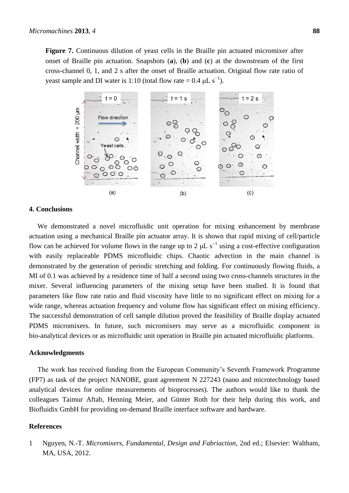**Figure 7.** Continuous dilution of yeast cells in the Braille pin actuated micromixer after onset of Braille pin actuation. Snapshots (**a**), (**b**) and (**c**) at the downstream of the first cross-channel 0, 1, and 2 s after the onset of Braille actuation. Original flow rate ratio of yeast sample and DI water is 1:10 (total flow rate =  $0.4 \mu L s^{-1}$ ).



# **4. Conclusions**

We demonstrated a novel microfluidic unit operation for mixing enhancement by membrane actuation using a mechanical Braille pin actuator array. It is shown that rapid mixing of cell/particle flow can be achieved for volume flows in the range up to 2  $\mu$ L s<sup>-1</sup> using a cost-effective configuration with easily replaceable PDMS microfluidic chips. Chaotic advection in the main channel is demonstrated by the generation of periodic stretching and folding. For continuously flowing fluids, a MI of 0.1 was achieved by a residence time of half a second using two cross-channels structures in the mixer. Several influencing parameters of the mixing setup have been studied. It is found that parameters like flow rate ratio and fluid viscosity have little to no significant effect on mixing for a wide range, whereas actuation frequency and volume flow has significant effect on mixing efficiency. The successful demonstration of cell sample dilution proved the feasibility of Braille display actuated PDMS micromixers. In future, such micromixers may serve as a microfluidic component in bio-analytical devices or as microfluidic unit operation in Braille pin actuated microfluidic platforms.

#### **Acknowledgments**

The work has received funding from the European Community's Seventh Framework Programme (FP7) as task of the project NANOBE, grant agreement N 227243 (nano and microtechnology based analytical devices for online measurements of bioprocesses). The authors would like to thank the colleagues Taimur Aftab, Henning Meier, and Günter Roth for their help during this work, and Biofluidix GmbH for providing on-demand Braille interface software and hardware.

#### **References**

1 Nguyen, N.-T. *Micromixers, Fundamental, Design and Fabriaction*, 2nd ed.; Elsevier: Waltham, MA, USA, 2012.